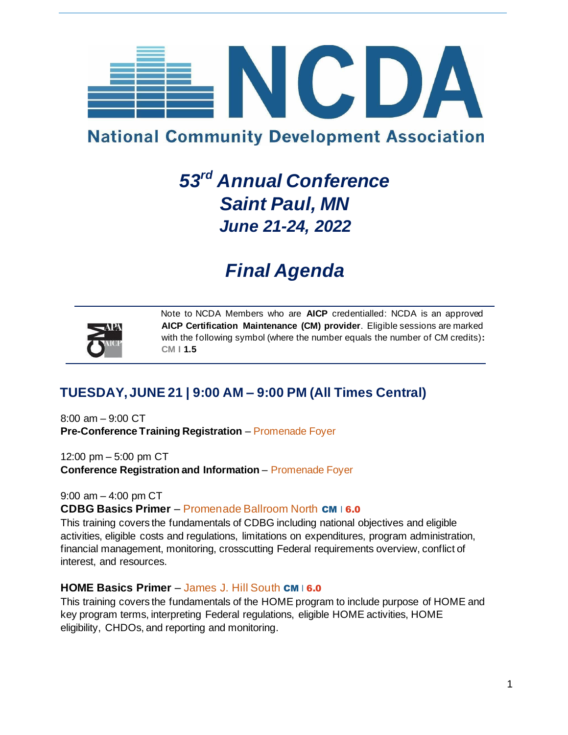

# **National Community Development Association**

# *53rd Annual Conference Saint Paul, MN June 21-24, 2022*

# *Final Agenda*



Note to NCDA Members who are **AICP** credentialled: NCDA is an approved **AICP Certification Maintenance (CM) provider**. Eligible sessions are marked with the following symbol (where the number equals the number of CM credits)**: CM I 1.5**

# **TUESDAY, JUNE 21 | 9:00 AM – 9:00 PM (All Times Central)**

8:00 am – 9:00 CT **Pre-Conference Training Registration** – Promenade Foyer

12:00 pm – 5:00 pm CT **Conference Registration and Information** – Promenade Foyer

9:00 am – 4:00 pm CT **CDBG Basics Primer** – Promenade Ballroom North CM I 6.0

This training covers the fundamentals of CDBG including national objectives and eligible activities, eligible costs and regulations, limitations on expenditures, program administration, financial management, monitoring, crosscutting Federal requirements overview, conflict of interest, and resources.

### **HOME Basics Primer** – James J. Hill South CM I 6.0

This training covers the fundamentals of the HOME program to include purpose of HOME and key program terms, interpreting Federal regulations, eligible HOME activities, HOME eligibility, CHDOs, and reporting and monitoring.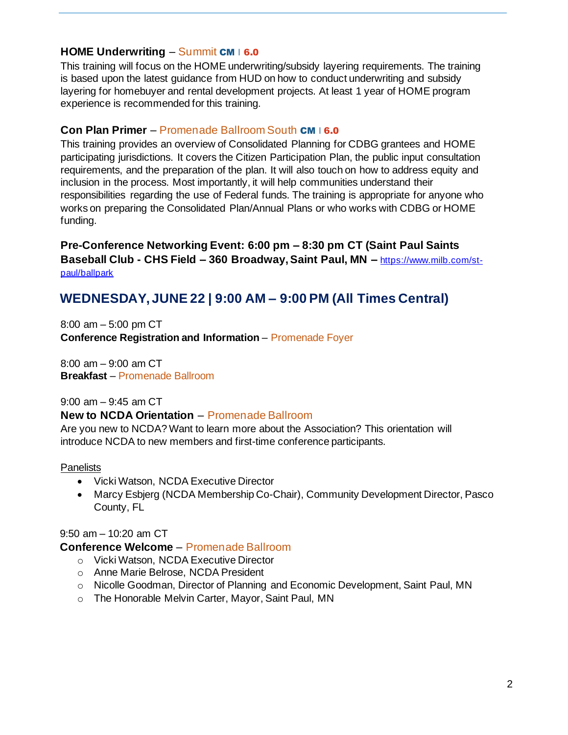## **HOME Underwriting – Summit CM I 6.0**

This training will focus on the HOME underwriting/subsidy layering requirements. The training is based upon the latest guidance from HUD on how to conduct underwriting and subsidy layering for homebuyer and rental development projects. At least 1 year of HOME program experience is recommended for this training.

### **Con Plan Primer** – Promenade Ballroom South CM | 6.0

This training provides an overview of Consolidated Planning for CDBG grantees and HOME participating jurisdictions. It covers the Citizen Participation Plan, the public input consultation requirements, and the preparation of the plan. It will also touch on how to address equity and inclusion in the process. Most importantly, it will help communities understand their responsibilities regarding the use of Federal funds. The training is appropriate for anyone who works on preparing the Consolidated Plan/Annual Plans or who works with CDBG or HOME funding.

**Pre-Conference Networking Event: 6:00 pm – 8:30 pm CT (Saint Paul Saints Baseball Club - CHS Field – 360 Broadway, Saint Paul, MN –** [https://www.milb.com/st](https://www.milb.com/st-paul/ballpark)[paul/ballpark](https://www.milb.com/st-paul/ballpark)

# **WEDNESDAY, JUNE 22 | 9:00 AM – 9:00 PM (All Times Central)**

8:00 am – 5:00 pm CT **Conference Registration and Information** – Promenade Foyer

8:00 am – 9:00 am CT **Breakfast** – Promenade Ballroom

9:00 am – 9:45 am CT

### **New to NCDA Orientation** – Promenade Ballroom

Are you new to NCDA? Want to learn more about the Association? This orientation will introduce NCDA to new members and first-time conference participants.

### Panelists

- Vicki Watson, NCDA Executive Director
- Marcy Esbjerg (NCDA Membership Co-Chair), Community Development Director, Pasco County, FL

9:50 am – 10:20 am CT

### **Conference Welcome** – Promenade Ballroom

- o Vicki Watson, NCDA Executive Director
- o Anne Marie Belrose, NCDA President
- o Nicolle Goodman, Director of Planning and Economic Development, Saint Paul, MN
- o The Honorable Melvin Carter, Mayor, Saint Paul, MN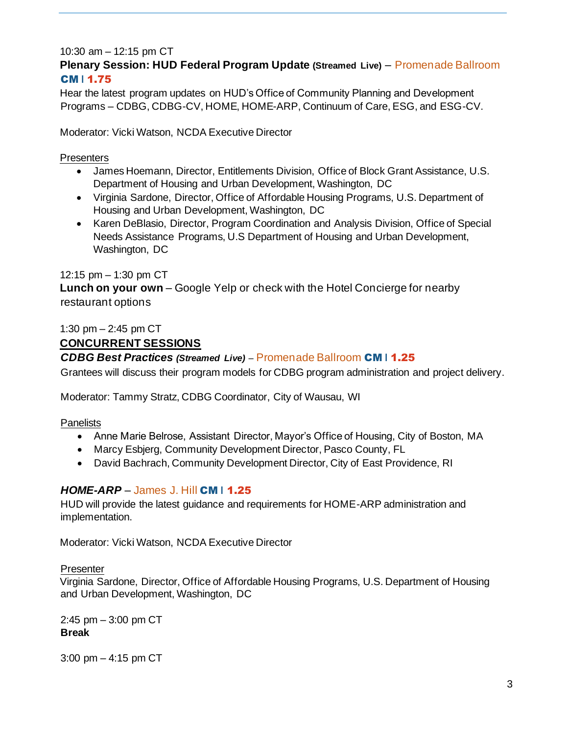#### 10:30 am – 12:15 pm CT **Plenary Session: HUD Federal Program Update (Streamed Live)** – Promenade Ballroom CM **I** 1.75

Hear the latest program updates on HUD's Office of Community Planning and Development Programs – CDBG, CDBG-CV, HOME, HOME-ARP, Continuum of Care, ESG, and ESG-CV.

Moderator: Vicki Watson, NCDA Executive Director

### **Presenters**

- James Hoemann, Director, Entitlements Division, Office of Block Grant Assistance, U.S. Department of Housing and Urban Development, Washington, DC
- Virginia Sardone, Director, Office of Affordable Housing Programs, U.S. Department of Housing and Urban Development, Washington, DC
- Karen DeBlasio, Director, Program Coordination and Analysis Division, Office of Special Needs Assistance Programs, U.S Department of Housing and Urban Development, Washington, DC

### 12:15 pm – 1:30 pm CT

**Lunch on your own** – Google Yelp or check with the Hotel Concierge for nearby restaurant options

#### 1:30 pm – 2:45 pm CT **CONCURRENT SESSIONS**

### *CDBG Best Practices (Streamed Live)* – Promenade Ballroom CM **I** 1.25

Grantees will discuss their program models for CDBG program administration and project delivery.

Moderator: Tammy Stratz, CDBG Coordinator, City of Wausau, WI

### **Panelists**

- Anne Marie Belrose, Assistant Director, Mayor's Office of Housing, City of Boston, MA
- Marcy Esbjerg, Community Development Director, Pasco County, FL
- David Bachrach, Community Development Director, City of East Providence, RI

### *HOME-ARP* – James J. Hill CM **I** 1.25

HUD will provide the latest guidance and requirements for HOME-ARP administration and implementation.

Moderator: Vicki Watson, NCDA Executive Director

#### **Presenter**

Virginia Sardone, Director, Office of Affordable Housing Programs, U.S. Department of Housing and Urban Development, Washington, DC

2:45 pm – 3:00 pm CT **Break**

3:00 pm – 4:15 pm CT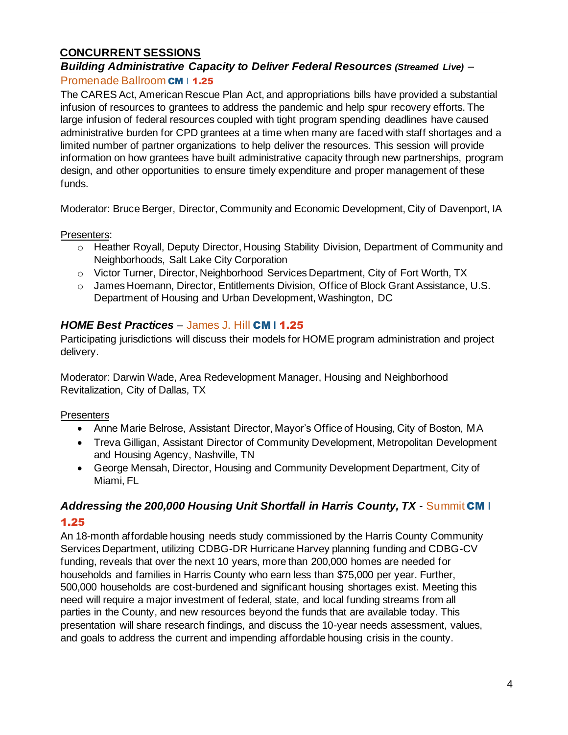# **CONCURRENT SESSIONS**

## *Building Administrative Capacity to Deliver Federal Resources (Streamed Live)* – Promenade Ballroom CM | 1.25

The CARES Act, American Rescue Plan Act, and appropriations bills have provided a substantial infusion of resources to grantees to address the pandemic and help spur recovery efforts. The large infusion of federal resources coupled with tight program spending deadlines have caused administrative burden for CPD grantees at a time when many are faced with staff shortages and a limited number of partner organizations to help deliver the resources. This session will provide information on how grantees have built administrative capacity through new partnerships, program design, and other opportunities to ensure timely expenditure and proper management of these funds.

Moderator: Bruce Berger, Director, Community and Economic Development, City of Davenport, IA

Presenters:

- o Heather Royall, Deputy Director, Housing Stability Division, Department of Community and Neighborhoods, Salt Lake City Corporation
- o Victor Turner, Director, Neighborhood Services Department, City of Fort Worth, TX
- o James Hoemann, Director, Entitlements Division, Office of Block Grant Assistance, U.S. Department of Housing and Urban Development, Washington, DC

# *HOME Best Practices* – James J. Hill CM **I** 1.25

Participating jurisdictions will discuss their models for HOME program administration and project delivery.

Moderator: Darwin Wade, Area Redevelopment Manager, Housing and Neighborhood Revitalization, City of Dallas, TX

### Presenters

- Anne Marie Belrose, Assistant Director, Mayor's Office of Housing, City of Boston, MA
- Treva Gilligan, Assistant Director of Community Development, Metropolitan Development and Housing Agency, Nashville, TN
- George Mensah, Director, Housing and Community Development Department, City of Miami, FL

# *Addressing the 200,000 Housing Unit Shortfall in Harris County, TX* - Summit CM **I** 1.25

An 18-month affordable housing needs study commissioned by the Harris County Community Services Department, utilizing CDBG-DR Hurricane Harvey planning funding and CDBG-CV funding, reveals that over the next 10 years, more than 200,000 homes are needed for households and families in Harris County who earn less than \$75,000 per year. Further, 500,000 households are cost-burdened and significant housing shortages exist. Meeting this need will require a major investment of federal, state, and local funding streams from all parties in the County, and new resources beyond the funds that are available today. This presentation will share research findings, and discuss the 10-year needs assessment, values, and goals to address the current and impending affordable housing crisis in the county.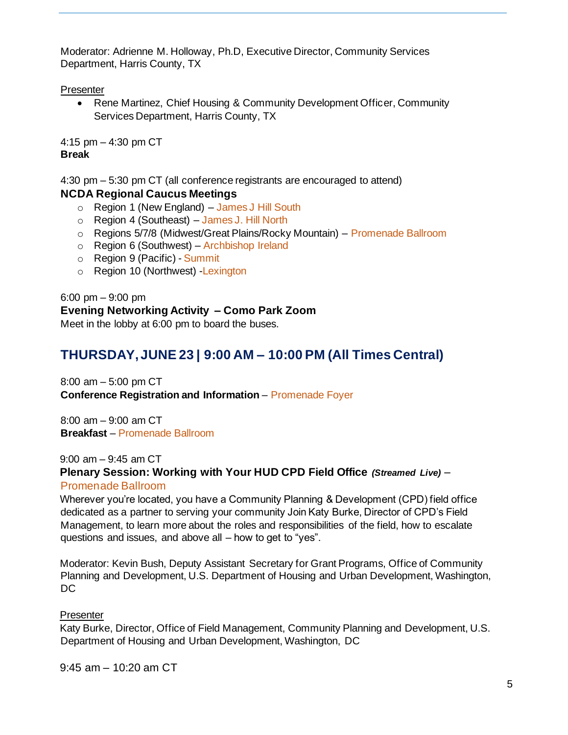Moderator: Adrienne M. Holloway, Ph.D, Executive Director, Community Services Department, Harris County, TX

**Presenter** 

• Rene Martinez, Chief Housing & Community Development Officer, Community Services Department, Harris County, TX

4:15 pm – 4:30 pm CT **Break**

4:30 pm – 5:30 pm CT (all conference registrants are encouraged to attend)

# **NCDA Regional Caucus Meetings**

- o Region 1 (New England) James J Hill South
- o Region 4 (Southeast) James J. Hill North
- o Regions 5/7/8 (Midwest/Great Plains/Rocky Mountain) Promenade Ballroom
- o Region 6 (Southwest) Archbishop Ireland
- o Region 9 (Pacific) Summit
- o Region 10 (Northwest) -Lexington

6:00 pm – 9:00 pm **Evening Networking Activity – Como Park Zoom** Meet in the lobby at 6:00 pm to board the buses.

# **THURSDAY, JUNE 23 | 9:00 AM – 10:00 PM (All Times Central)**

8:00 am – 5:00 pm CT **Conference Registration and Information** – Promenade Foyer

8:00 am – 9:00 am CT **Breakfast** – Promenade Ballroom

9:00 am – 9:45 am CT **Plenary Session: Working with Your HUD CPD Field Office** *(Streamed Live)* –

Promenade Ballroom

Wherever you're located, you have a Community Planning & Development (CPD) field office dedicated as a partner to serving your community Join Katy Burke, Director of CPD's Field Management, to learn more about the roles and responsibilities of the field, how to escalate questions and issues, and above all – how to get to "yes".

Moderator: Kevin Bush, Deputy Assistant Secretary for Grant Programs, Office of Community Planning and Development, U.S. Department of Housing and Urban Development, Washington, DC

# **Presenter**

Katy Burke, Director, Office of Field Management, Community Planning and Development, U.S. Department of Housing and Urban Development, Washington, DC

9:45 am – 10:20 am CT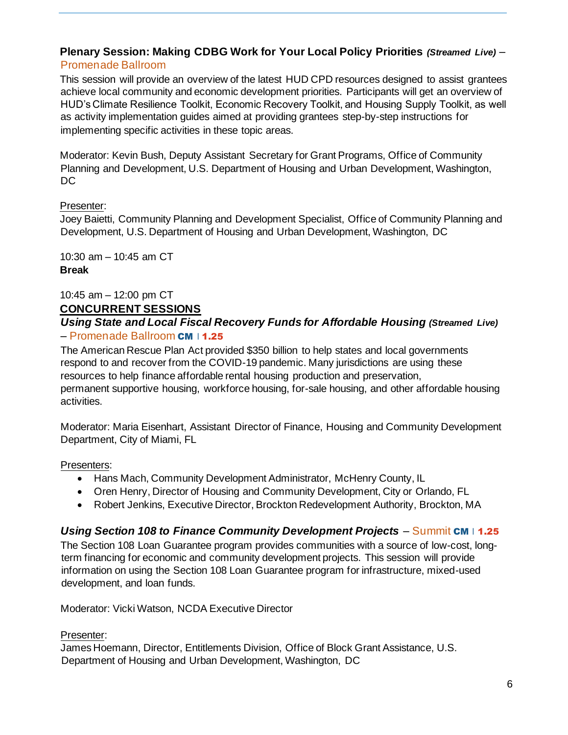## **Plenary Session: Making CDBG Work for Your Local Policy Priorities** *(Streamed Live)* – Promenade Ballroom

This session will provide an overview of the latest HUD CPD resources designed to assist grantees achieve local community and economic development priorities. Participants will get an overview of HUD's Climate Resilience Toolkit, Economic Recovery Toolkit, and Housing Supply Toolkit, as well as activity implementation guides aimed at providing grantees step-by-step instructions for implementing specific activities in these topic areas.

Moderator: Kevin Bush, Deputy Assistant Secretary for Grant Programs, Office of Community Planning and Development, U.S. Department of Housing and Urban Development, Washington, DC

### Presenter:

Joey Baietti, Community Planning and Development Specialist, Office of Community Planning and Development, U.S. Department of Housing and Urban Development, Washington, DC

10:30 am – 10:45 am CT **Break**

### 10:45 am – 12:00 pm CT **CONCURRENT SESSIONS**

### *Using State and Local Fiscal Recovery Funds for Affordable Housing (Streamed Live)* – Promenade Ballroom CM | 1.25

The American Rescue Plan Act provided \$350 billion to help states and local governments respond to and recover from the COVID-19 pandemic. Many jurisdictions are using these resources to help finance affordable rental housing production and preservation, permanent supportive housing, workforce housing, for-sale housing, and other affordable housing activities.

Moderator: Maria Eisenhart, Assistant Director of Finance, Housing and Community Development Department, City of Miami, FL

### Presenters:

- Hans Mach, Community Development Administrator, McHenry County, IL
- Oren Henry, Director of Housing and Community Development, City or Orlando, FL
- Robert Jenkins, Executive Director, Brockton Redevelopment Authority, Brockton, MA

# *Using Section 108 to Finance Community Development Projects* – Summit CM I 1.25

The Section 108 Loan Guarantee program provides communities with a source of low-cost, longterm financing for economic and community development projects. This session will provide information on using the Section 108 Loan Guarantee program for infrastructure, mixed-used development, and loan funds.

Moderator: Vicki Watson, NCDA Executive Director

### Presenter:

James Hoemann, Director, Entitlements Division, Office of Block Grant Assistance, U.S. Department of Housing and Urban Development, Washington, DC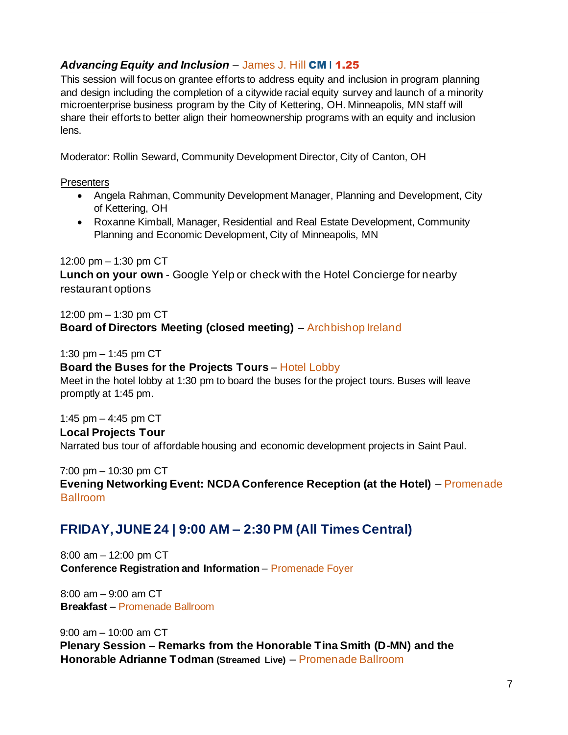# *Advancing Equity and Inclusion* – James J. Hill CM **I** 1.25

This session will focus on grantee efforts to address equity and inclusion in program planning and design including the completion of a citywide racial equity survey and launch of a minority microenterprise business program by the City of Kettering, OH. Minneapolis, MN staff will share their efforts to better align their homeownership programs with an equity and inclusion lens.

Moderator: Rollin Seward, Community Development Director, City of Canton, OH

**Presenters** 

- Angela Rahman, Community Development Manager, Planning and Development, City of Kettering, OH
- Roxanne Kimball, Manager, Residential and Real Estate Development, Community Planning and Economic Development, City of Minneapolis, MN

12:00 pm – 1:30 pm CT

**Lunch on your own** - Google Yelp or check with the Hotel Concierge for nearby restaurant options

12:00 pm – 1:30 pm CT

# **Board of Directors Meeting (closed meeting)** – Archbishop Ireland

1:30 pm – 1:45 pm CT

## **Board the Buses for the Projects Tours** – Hotel Lobby

Meet in the hotel lobby at 1:30 pm to board the buses for the project tours. Buses will leave promptly at 1:45 pm.

1:45 pm – 4:45 pm CT

# **Local Projects Tour**

Narrated bus tour of affordable housing and economic development projects in Saint Paul.

7:00 pm – 10:30 pm CT

**Evening Networking Event: NCDA Conference Reception (at the Hotel)** – Promenade Ballroom

# **FRIDAY, JUNE 24 | 9:00 AM – 2:30 PM (All Times Central)**

8:00 am – 12:00 pm CT **Conference Registration and Information** – Promenade Foyer

8:00 am – 9:00 am CT **Breakfast** – Promenade Ballroom

9:00 am – 10:00 am CT **Plenary Session – Remarks from the Honorable Tina Smith (D-MN) and the Honorable Adrianne Todman (Streamed Live)** – Promenade Ballroom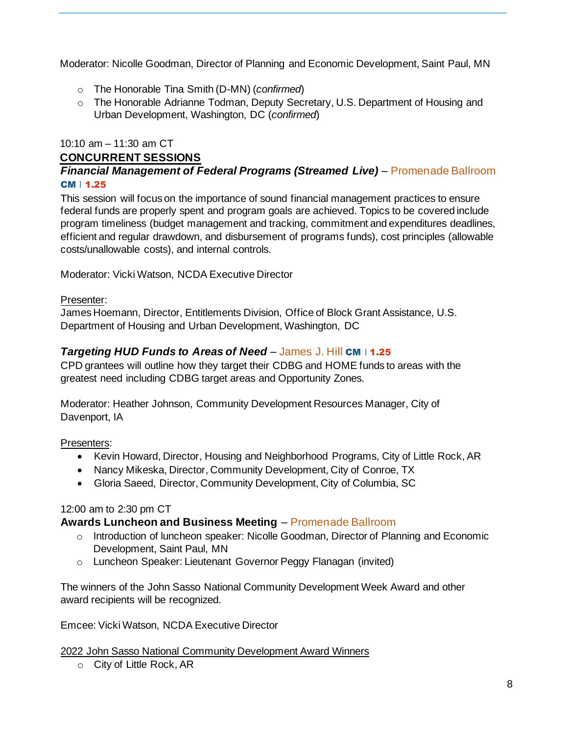Moderator: Nicolle Goodman, Director of Planning and Economic Development, Saint Paul, MN

- o The Honorable Tina Smith (D-MN) (*confirmed*)
- o The Honorable Adrianne Todman, Deputy Secretary, U.S. Department of Housing and Urban Development, Washington, DC (*confirmed*)

## 10:10 am – 11:30 am CT

# **CONCURRENT SESSIONS**

## *Financial Management of Federal Programs (Streamed Live)* – Promenade Ballroom  $CM$  | 1.25

This session will focus on the importance of sound financial management practices to ensure federal funds are properly spent and program goals are achieved. Topics to be covered include program timeliness (budget management and tracking, commitment and expenditures deadlines, efficient and regular drawdown, and disbursement of programs funds), cost principles (allowable costs/unallowable costs), and internal controls.

Moderator: Vicki Watson, NCDA Executive Director

### Presenter:

James Hoemann, Director, Entitlements Division, Office of Block Grant Assistance, U.S. Department of Housing and Urban Development, Washington, DC

# *Targeting HUD Funds to Areas of Need* – James J. Hill CM I 1.25

CPD grantees will outline how they target their CDBG and HOME funds to areas with the greatest need including CDBG target areas and Opportunity Zones.

Moderator: Heather Johnson, Community Development Resources Manager, City of Davenport, IA

Presenters:

- Kevin Howard, Director, Housing and Neighborhood Programs, City of Little Rock, AR
- Nancy Mikeska, Director, Community Development, City of Conroe, TX
- Gloria Saeed, Director, Community Development, City of Columbia, SC

# 12:00 am to 2:30 pm CT

# **Awards Luncheon and Business Meeting** – Promenade Ballroom

- o Introduction of luncheon speaker: Nicolle Goodman, Director of Planning and Economic Development, Saint Paul, MN
- o Luncheon Speaker: Lieutenant Governor Peggy Flanagan (invited)

The winners of the John Sasso National Community Development Week Award and other award recipients will be recognized.

Emcee: Vicki Watson, NCDA Executive Director

2022 John Sasso National Community Development Award Winners

o City of Little Rock, AR